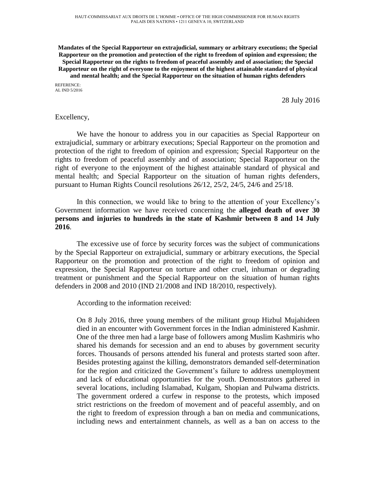**Mandates of the Special Rapporteur on extrajudicial, summary or arbitrary executions; the Special Rapporteur on the promotion and protection of the right to freedom of opinion and expression; the Special Rapporteur on the rights to freedom of peaceful assembly and of association; the Special Rapporteur on the right of everyone to the enjoyment of the highest attainable standard of physical and mental health; and the Special Rapporteur on the situation of human rights defenders**

REFERENCE: AL IND 5/2016

28 July 2016

## Excellency,

We have the honour to address you in our capacities as Special Rapporteur on extrajudicial, summary or arbitrary executions; Special Rapporteur on the promotion and protection of the right to freedom of opinion and expression; Special Rapporteur on the rights to freedom of peaceful assembly and of association; Special Rapporteur on the right of everyone to the enjoyment of the highest attainable standard of physical and mental health; and Special Rapporteur on the situation of human rights defenders, pursuant to Human Rights Council resolutions 26/12, 25/2, 24/5, 24/6 and 25/18.

In this connection, we would like to bring to the attention of your Excellency's Government information we have received concerning the **alleged death of over 30 persons and injuries to hundreds in the state of Kashmir between 8 and 14 July 2016**.

The excessive use of force by security forces was the subject of communications by the Special Rapporteur on extrajudicial, summary or arbitrary executions, the Special Rapporteur on the promotion and protection of the right to freedom of opinion and expression, the Special Rapporteur on torture and other cruel, inhuman or degrading treatment or punishment and the Special Rapporteur on the situation of human rights defenders in 2008 and 2010 (IND 21/2008 and IND 18/2010, respectively).

According to the information received:

On 8 July 2016, three young members of the militant group Hizbul Mujahideen died in an encounter with Government forces in the Indian administered Kashmir. One of the three men had a large base of followers among Muslim Kashmiris who shared his demands for secession and an end to abuses by government security forces. Thousands of persons attended his funeral and protests started soon after. Besides protesting against the killing, demonstrators demanded self-determination for the region and criticized the Government's failure to address unemployment and lack of educational opportunities for the youth. Demonstrators gathered in several locations, including Islamabad, Kulgam, Shopian and Pulwama districts. The government ordered a curfew in response to the protests, which imposed strict restrictions on the freedom of movement and of peaceful assembly, and on the right to freedom of expression through a ban on media and communications, including news and entertainment channels, as well as a ban on access to the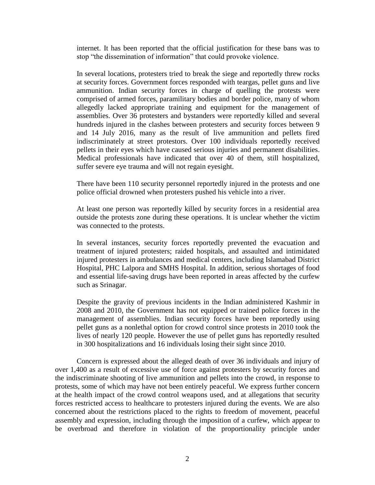internet. It has been reported that the official justification for these bans was to stop "the dissemination of information" that could provoke violence.

In several locations, protesters tried to break the siege and reportedly threw rocks at security forces. Government forces responded with teargas, pellet guns and live ammunition. Indian security forces in charge of quelling the protests were comprised of armed forces, paramilitary bodies and border police, many of whom allegedly lacked appropriate training and equipment for the management of assemblies. Over 36 protesters and bystanders were reportedly killed and several hundreds injured in the clashes between protesters and security forces between 9 and 14 July 2016, many as the result of live ammunition and pellets fired indiscriminately at street protestors. Over 100 individuals reportedly received pellets in their eyes which have caused serious injuries and permanent disabilities. Medical professionals have indicated that over 40 of them, still hospitalized, suffer severe eye trauma and will not regain eyesight.

There have been 110 security personnel reportedly injured in the protests and one police official drowned when protesters pushed his vehicle into a river.

At least one person was reportedly killed by security forces in a residential area outside the protests zone during these operations. It is unclear whether the victim was connected to the protests.

In several instances, security forces reportedly prevented the evacuation and treatment of injured protesters; raided hospitals, and assaulted and intimidated injured protesters in ambulances and medical centers, including Islamabad District Hospital, PHC Lalpora and SMHS Hospital. In addition, serious shortages of food and essential life-saving drugs have been reported in areas affected by the curfew such as Srinagar.

Despite the gravity of previous incidents in the Indian administered Kashmir in 2008 and 2010, the Government has not equipped or trained police forces in the management of assemblies. Indian security forces have been reportedly using pellet guns as a nonlethal option for crowd control since protests in 2010 took the lives of nearly 120 people. However the use of pellet guns has reportedly resulted in 300 hospitalizations and 16 individuals losing their sight since 2010.

Concern is expressed about the alleged death of over 36 individuals and injury of over 1,400 as a result of excessive use of force against protesters by security forces and the indiscriminate shooting of live ammunition and pellets into the crowd, in response to protests, some of which may have not been entirely peaceful. We express further concern at the health impact of the crowd control weapons used, and at allegations that security forces restricted access to healthcare to protesters injured during the events. We are also concerned about the restrictions placed to the rights to freedom of movement, peaceful assembly and expression, including through the imposition of a curfew, which appear to be overbroad and therefore in violation of the proportionality principle under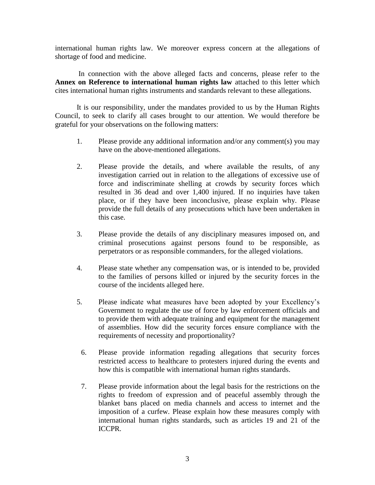international human rights law. We moreover express concern at the allegations of shortage of food and medicine.

In connection with the above alleged facts and concerns, please refer to the **Annex on Reference to international human rights law** attached to this letter which cites international human rights instruments and standards relevant to these allegations.

It is our responsibility, under the mandates provided to us by the Human Rights Council, to seek to clarify all cases brought to our attention. We would therefore be grateful for your observations on the following matters:

- 1. Please provide any additional information and/or any comment(s) you may have on the above-mentioned allegations.
- 2. Please provide the details, and where available the results, of any investigation carried out in relation to the allegations of excessive use of force and indiscriminate shelling at crowds by security forces which resulted in 36 dead and over 1,400 injured. If no inquiries have taken place, or if they have been inconclusive, please explain why. Please provide the full details of any prosecutions which have been undertaken in this case.
- 3. Please provide the details of any disciplinary measures imposed on, and criminal prosecutions against persons found to be responsible, as perpetrators or as responsible commanders, for the alleged violations.
- 4. Please state whether any compensation was, or is intended to be, provided to the families of persons killed or injured by the security forces in the course of the incidents alleged here.
- 5. Please indicate what measures have been adopted by your Excellency's Government to regulate the use of force by law enforcement officials and to provide them with adequate training and equipment for the management of assemblies. How did the security forces ensure compliance with the requirements of necessity and proportionality?
	- 6. Please provide information regading allegations that security forces restricted access to healthcare to protesters injured during the events and how this is compatible with international human rights standards.
	- 7. Please provide information about the legal basis for the restrictions on the rights to freedom of expression and of peaceful assembly through the blanket bans placed on media channels and access to internet and the imposition of a curfew. Please explain how these measures comply with international human rights standards, such as articles 19 and 21 of the ICCPR.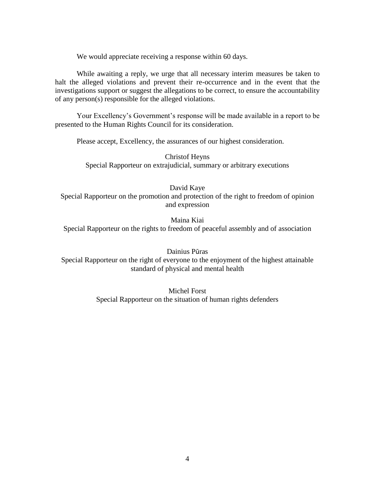We would appreciate receiving a response within 60 days.

While awaiting a reply, we urge that all necessary interim measures be taken to halt the alleged violations and prevent their re-occurrence and in the event that the investigations support or suggest the allegations to be correct, to ensure the accountability of any person(s) responsible for the alleged violations.

Your Excellency's Government's response will be made available in a report to be presented to the Human Rights Council for its consideration.

Please accept, Excellency, the assurances of our highest consideration.

Christof Heyns Special Rapporteur on extrajudicial, summary or arbitrary executions

David Kaye

Special Rapporteur on the promotion and protection of the right to freedom of opinion and expression

Maina Kiai Special Rapporteur on the rights to freedom of peaceful assembly and of association

Dainius Pūras Special Rapporteur on the right of everyone to the enjoyment of the highest attainable standard of physical and mental health

> Michel Forst Special Rapporteur on the situation of human rights defenders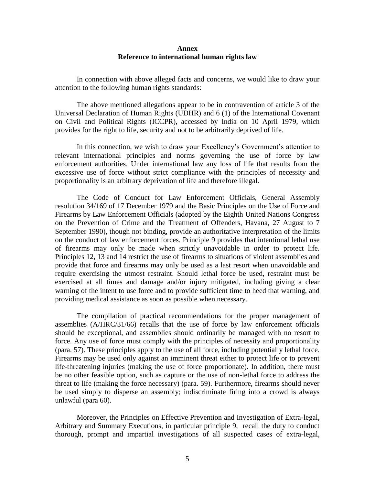## **Annex Reference to international human rights law**

In connection with above alleged facts and concerns, we would like to draw your attention to the following human rights standards:

The above mentioned allegations appear to be in contravention of article 3 of the Universal Declaration of Human Rights (UDHR) and 6 (1) of the International Covenant on Civil and Political Rights (ICCPR), accessed by India on 10 April 1979, which provides for the right to life, security and not to be arbitrarily deprived of life.

In this connection, we wish to draw your Excellency's Government's attention to relevant international principles and norms governing the use of force by law enforcement authorities. Under international law any loss of life that results from the excessive use of force without strict compliance with the principles of necessity and proportionality is an arbitrary deprivation of life and therefore illegal.

The Code of Conduct for Law Enforcement Officials, General Assembly resolution 34/169 of 17 December 1979 and the Basic Principles on the Use of Force and Firearms by Law Enforcement Officials (adopted by the Eighth United Nations Congress on the Prevention of Crime and the Treatment of Offenders, Havana, 27 August to 7 September 1990), though not binding, provide an authoritative interpretation of the limits on the conduct of law enforcement forces. Principle 9 provides that intentional lethal use of firearms may only be made when strictly unavoidable in order to protect life. Principles 12, 13 and 14 restrict the use of firearms to situations of violent assemblies and provide that force and firearms may only be used as a last resort when unavoidable and require exercising the utmost restraint. Should lethal force be used, restraint must be exercised at all times and damage and/or injury mitigated, including giving a clear warning of the intent to use force and to provide sufficient time to heed that warning, and providing medical assistance as soon as possible when necessary.

The compilation of practical recommendations for the proper management of assemblies (A/HRC/31/66) recalls that the use of force by law enforcement officials should be exceptional, and assemblies should ordinarily be managed with no resort to force. Any use of force must comply with the principles of necessity and proportionality (para. 57). These principles apply to the use of all force, including potentially lethal force. Firearms may be used only against an imminent threat either to protect life or to prevent life-threatening injuries (making the use of force proportionate). In addition, there must be no other feasible option, such as capture or the use of non-lethal force to address the threat to life (making the force necessary) (para. 59). Furthermore, firearms should never be used simply to disperse an assembly; indiscriminate firing into a crowd is always unlawful (para 60).

Moreover, the Principles on Effective Prevention and Investigation of Extra-legal, Arbitrary and Summary Executions, in particular principle 9, recall the duty to conduct thorough, prompt and impartial investigations of all suspected cases of extra-legal,